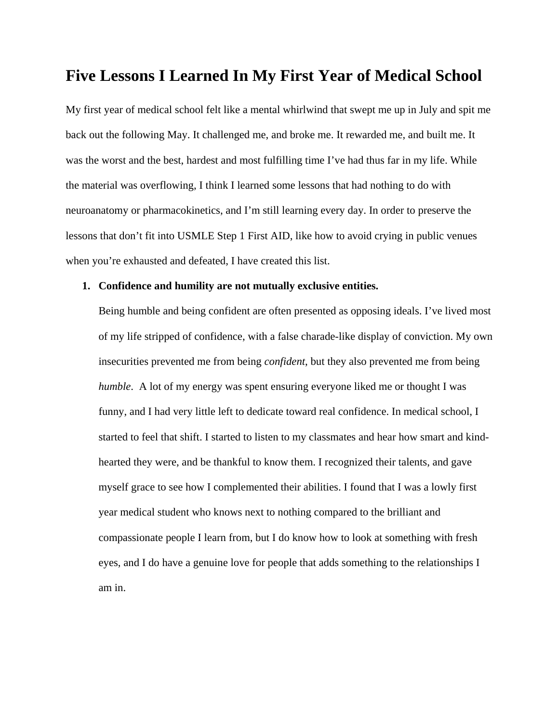### **Five Lessons I Learned In My First Year of Medical School**

My first year of medical school felt like a mental whirlwind that swept me up in July and spit me back out the following May. It challenged me, and broke me. It rewarded me, and built me. It was the worst and the best, hardest and most fulfilling time I've had thus far in my life. While the material was overflowing, I think I learned some lessons that had nothing to do with neuroanatomy or pharmacokinetics, and I'm still learning every day. In order to preserve the lessons that don't fit into USMLE Step 1 First AID, like how to avoid crying in public venues when you're exhausted and defeated, I have created this list.

### **1. Confidence and humility are not mutually exclusive entities.**

Being humble and being confident are often presented as opposing ideals. I've lived most of my life stripped of confidence, with a false charade-like display of conviction. My own insecurities prevented me from being *confident*, but they also prevented me from being *humble*. A lot of my energy was spent ensuring everyone liked me or thought I was funny, and I had very little left to dedicate toward real confidence. In medical school, I started to feel that shift. I started to listen to my classmates and hear how smart and kindhearted they were, and be thankful to know them. I recognized their talents, and gave myself grace to see how I complemented their abilities. I found that I was a lowly first year medical student who knows next to nothing compared to the brilliant and compassionate people I learn from, but I do know how to look at something with fresh eyes, and I do have a genuine love for people that adds something to the relationships I am in.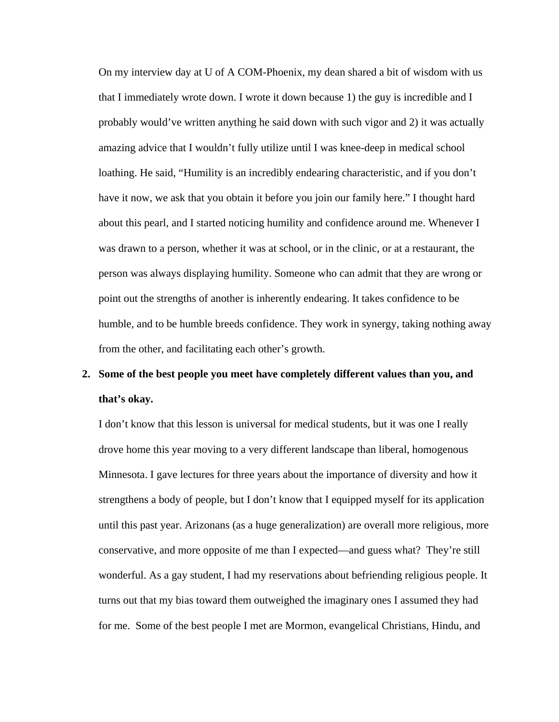On my interview day at U of A COM-Phoenix, my dean shared a bit of wisdom with us that I immediately wrote down. I wrote it down because 1) the guy is incredible and I probably would've written anything he said down with such vigor and 2) it was actually amazing advice that I wouldn't fully utilize until I was knee-deep in medical school loathing. He said, "Humility is an incredibly endearing characteristic, and if you don't have it now, we ask that you obtain it before you join our family here." I thought hard about this pearl, and I started noticing humility and confidence around me. Whenever I was drawn to a person, whether it was at school, or in the clinic, or at a restaurant, the person was always displaying humility. Someone who can admit that they are wrong or point out the strengths of another is inherently endearing. It takes confidence to be humble, and to be humble breeds confidence. They work in synergy, taking nothing away from the other, and facilitating each other's growth.

# **2. Some of the best people you meet have completely different values than you, and that's okay.**

I don't know that this lesson is universal for medical students, but it was one I really drove home this year moving to a very different landscape than liberal, homogenous Minnesota. I gave lectures for three years about the importance of diversity and how it strengthens a body of people, but I don't know that I equipped myself for its application until this past year. Arizonans (as a huge generalization) are overall more religious, more conservative, and more opposite of me than I expected—and guess what? They're still wonderful. As a gay student, I had my reservations about befriending religious people. It turns out that my bias toward them outweighed the imaginary ones I assumed they had for me. Some of the best people I met are Mormon, evangelical Christians, Hindu, and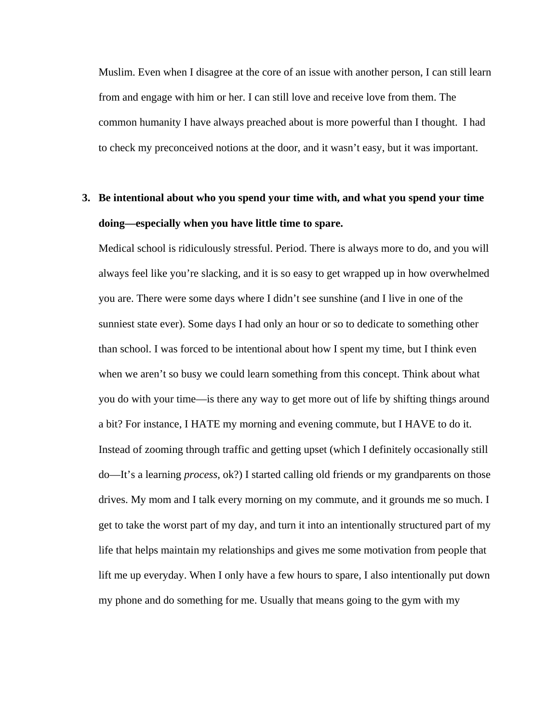Muslim. Even when I disagree at the core of an issue with another person, I can still learn from and engage with him or her. I can still love and receive love from them. The common humanity I have always preached about is more powerful than I thought. I had to check my preconceived notions at the door, and it wasn't easy, but it was important.

## **3. Be intentional about who you spend your time with, and what you spend your time doing—especially when you have little time to spare.**

Medical school is ridiculously stressful. Period. There is always more to do, and you will always feel like you're slacking, and it is so easy to get wrapped up in how overwhelmed you are. There were some days where I didn't see sunshine (and I live in one of the sunniest state ever). Some days I had only an hour or so to dedicate to something other than school. I was forced to be intentional about how I spent my time, but I think even when we aren't so busy we could learn something from this concept. Think about what you do with your time—is there any way to get more out of life by shifting things around a bit? For instance, I HATE my morning and evening commute, but I HAVE to do it. Instead of zooming through traffic and getting upset (which I definitely occasionally still do—It's a learning *process*, ok?) I started calling old friends or my grandparents on those drives. My mom and I talk every morning on my commute, and it grounds me so much. I get to take the worst part of my day, and turn it into an intentionally structured part of my life that helps maintain my relationships and gives me some motivation from people that lift me up everyday. When I only have a few hours to spare, I also intentionally put down my phone and do something for me. Usually that means going to the gym with my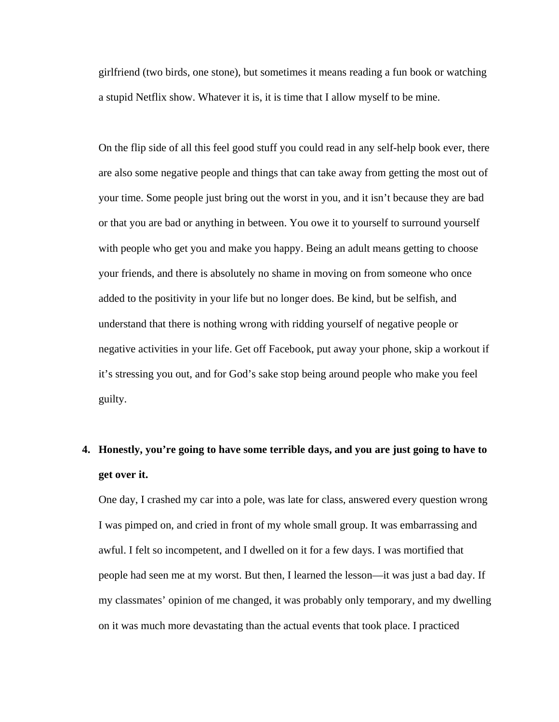girlfriend (two birds, one stone), but sometimes it means reading a fun book or watching a stupid Netflix show. Whatever it is, it is time that I allow myself to be mine.

On the flip side of all this feel good stuff you could read in any self-help book ever, there are also some negative people and things that can take away from getting the most out of your time. Some people just bring out the worst in you, and it isn't because they are bad or that you are bad or anything in between. You owe it to yourself to surround yourself with people who get you and make you happy. Being an adult means getting to choose your friends, and there is absolutely no shame in moving on from someone who once added to the positivity in your life but no longer does. Be kind, but be selfish, and understand that there is nothing wrong with ridding yourself of negative people or negative activities in your life. Get off Facebook, put away your phone, skip a workout if it's stressing you out, and for God's sake stop being around people who make you feel guilty.

# **4. Honestly, you're going to have some terrible days, and you are just going to have to get over it.**

One day, I crashed my car into a pole, was late for class, answered every question wrong I was pimped on, and cried in front of my whole small group. It was embarrassing and awful. I felt so incompetent, and I dwelled on it for a few days. I was mortified that people had seen me at my worst. But then, I learned the lesson—it was just a bad day. If my classmates' opinion of me changed, it was probably only temporary, and my dwelling on it was much more devastating than the actual events that took place. I practiced